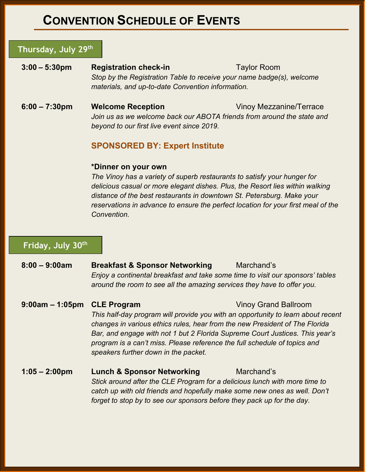# **CONVENTION SCHEDULE OF EVENTS**

#### **Thursday, July 29th**

**3:00 – 5:30pm Registration check-in** Taylor Room *Stop by the Registration Table to receive your name badge(s), welcome materials, and up-to-date Convention information.*

**6:00 – 7:30pm Welcome Reception** Vinoy Mezzanine/Terrace *Join us as we welcome back our ABOTA friends from around the state and beyond to our first live event since 2019.*

#### **SPONSORED BY: Expert Institute**

#### **\*Dinner on your own**

*The Vinoy has a variety of superb restaurants to satisfy your hunger for delicious casual or more elegant dishes. Plus, the Resort lies within walking distance of the best restaurants in downtown St. Petersburg. Make your reservations in advance to ensure the perfect location for your first meal of the Convention.*

#### **Friday, July 30th**

| $8:00 - 9:00am$         | <b>Breakfast &amp; Sponsor Networking</b><br>Enjoy a continental breakfast and take some time to visit our sponsors' tables<br>around the room to see all the amazing services they have to offer you.                                                                                                                                                                                     | Marchand's                  |
|-------------------------|--------------------------------------------------------------------------------------------------------------------------------------------------------------------------------------------------------------------------------------------------------------------------------------------------------------------------------------------------------------------------------------------|-----------------------------|
| $9:00am - 1:05pm$       | <b>CLE Program</b><br>This half-day program will provide you with an opportunity to learn about recent<br>changes in various ethics rules, hear from the new President of The Florida<br>Bar, and engage with not 1 but 2 Florida Supreme Court Justices. This year's<br>program is a can't miss. Please reference the full schedule of topics and<br>speakers further down in the packet. | <b>Vinoy Grand Ballroom</b> |
| $1:05 - 2:00 \text{pm}$ | <b>Lunch &amp; Sponsor Networking</b><br>Stick around after the CLE Program for a delicious lunch with more time to<br>catch up with old friends and hopefully make some new ones as well. Don't<br>forget to stop by to see our sponsors before they pack up for the day.                                                                                                                 | Marchand's                  |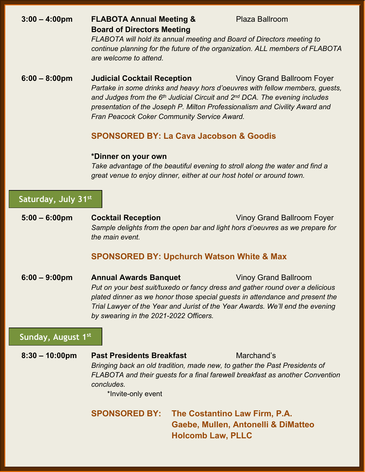# **3:00 – 4:00pm FLABOTA Annual Meeting &** Plaza Ballroom **Board of Directors Meeting**

*FLABOTA will hold its annual meeting and Board of Directors meeting to continue planning for the future of the organization. ALL members of FLABOTA are welcome to attend.*

**6:00 – 8:00pm Judicial Cocktail Reception** Vinoy Grand Ballroom Foyer *Partake in some drinks and heavy hors d'oeuvres with fellow members, guests, and Judges from the 6th Judicial Circuit and 2nd DCA. The evening includes presentation of the Joseph P. Milton Professionalism and Civility Award and Fran Peacock Coker Community Service Award.*

### **SPONSORED BY: La Cava Jacobson & Goodis**

#### **\*Dinner on your own**

*Take advantage of the beautiful evening to stroll along the water and find a great venue to enjoy dinner, either at our host hotel or around town.*

## **Saturday, July 31st**

**5:00 – 6:00pm Cocktail Reception** Vinoy Grand Ballroom Foyer *Sample delights from the open bar and light hors d'oeuvres as we prepare for the main event.*

## **SPONSORED BY: Upchurch Watson White & Max**

**6:00 – 9:00pm Annual Awards Banquet** Vinoy Grand Ballroom *Put on your best suit/tuxedo or fancy dress and gather round over a delicious plated dinner as we honor those special guests in attendance and present the Trial Lawyer of the Year and Jurist of the Year Awards. We'll end the evening by swearing in the 2021-2022 Officers.*

## **Sunday, August 1st**

**8:30 – 10:00pm Past Presidents Breakfast** Marchand's *Bringing back an old tradition, made new, to gather the Past Presidents of FLABOTA and their guests for a final farewell breakfast as another Convention concludes.* \*Invite-only event

> **SPONSORED BY: The Costantino Law Firm, P.A. Gaebe, Mullen, Antonelli & DiMatteo Holcomb Law, PLLC**